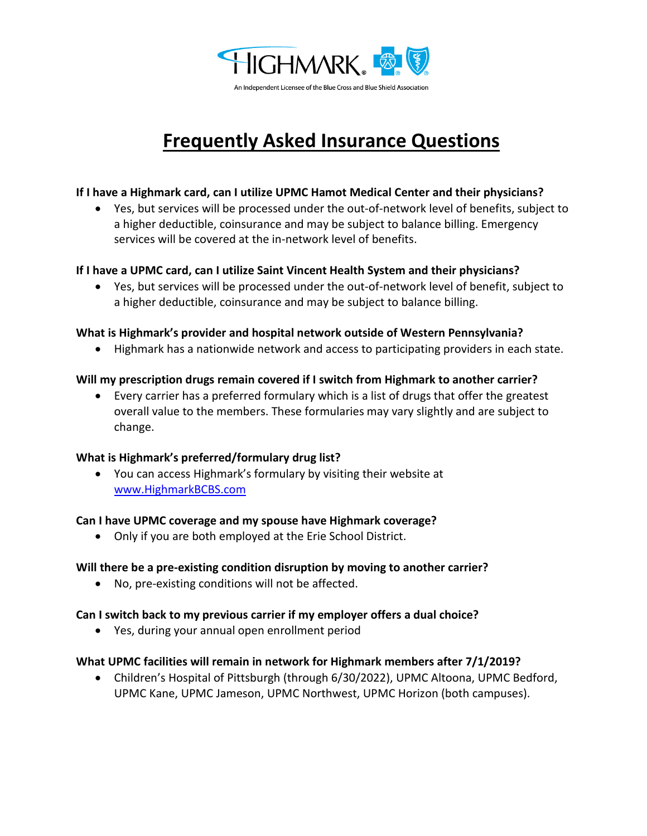

# **Frequently Asked Insurance Questions**

#### **If I have a Highmark card, can I utilize UPMC Hamot Medical Center and their physicians?**

• Yes, but services will be processed under the out-of-network level of benefits, subject to a higher deductible, coinsurance and may be subject to balance billing. Emergency services will be covered at the in-network level of benefits.

#### **If I have a UPMC card, can I utilize Saint Vincent Health System and their physicians?**

• Yes, but services will be processed under the out-of-network level of benefit, subject to a higher deductible, coinsurance and may be subject to balance billing.

#### **What is Highmark's provider and hospital network outside of Western Pennsylvania?**

• Highmark has a nationwide network and access to participating providers in each state.

## **Will my prescription drugs remain covered if I switch from Highmark to another carrier?**

• Every carrier has a preferred formulary which is a list of drugs that offer the greatest overall value to the members. These formularies may vary slightly and are subject to change.

## **What is Highmark's preferred/formulary drug list?**

• You can access Highmark's formulary by visiting their website at [www.HighmarkBCBS.com](http://www.highmarkbcbs.com/)

#### **Can I have UPMC coverage and my spouse have Highmark coverage?**

• Only if you are both employed at the Erie School District.

## **Will there be a pre-existing condition disruption by moving to another carrier?**

• No, pre-existing conditions will not be affected.

#### **Can I switch back to my previous carrier if my employer offers a dual choice?**

• Yes, during your annual open enrollment period

#### **What UPMC facilities will remain in network for Highmark members after 7/1/2019?**

• Children's Hospital of Pittsburgh (through 6/30/2022), UPMC Altoona, UPMC Bedford, UPMC Kane, UPMC Jameson, UPMC Northwest, UPMC Horizon (both campuses).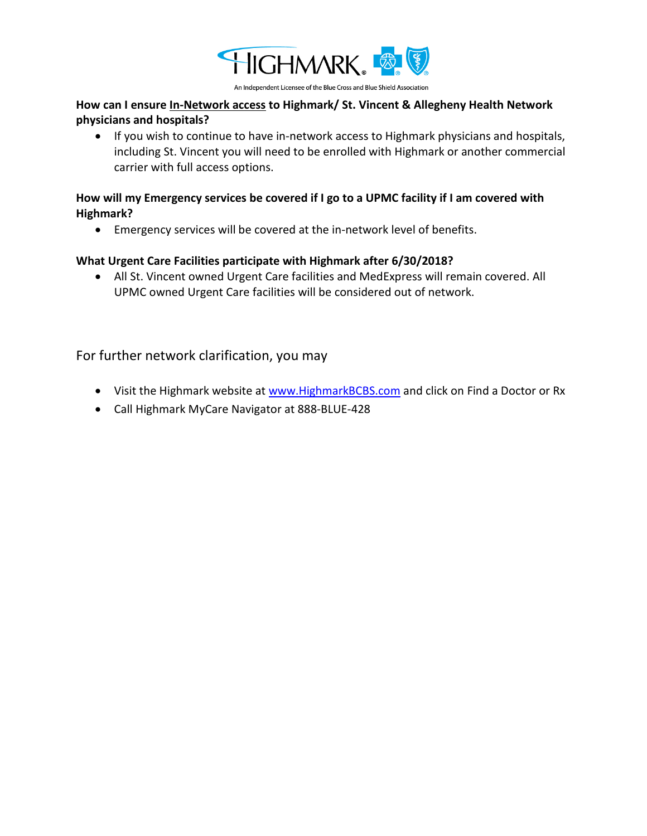

An Independent Licensee of the Blue Cross and Blue Shield Association

## **How can I ensure In-Network access to Highmark/ St. Vincent & Allegheny Health Network physicians and hospitals?**

• If you wish to continue to have in-network access to Highmark physicians and hospitals, including St. Vincent you will need to be enrolled with Highmark or another commercial carrier with full access options.

## **How will my Emergency services be covered if I go to a UPMC facility if I am covered with Highmark?**

• Emergency services will be covered at the in-network level of benefits.

## **What Urgent Care Facilities participate with Highmark after 6/30/2018?**

• All St. Vincent owned Urgent Care facilities and MedExpress will remain covered. All UPMC owned Urgent Care facilities will be considered out of network.

For further network clarification, you may

- Visit the Highmark website at [www.HighmarkBCBS.com](http://www.highmarkbcbs.com/) and click on Find a Doctor or Rx
- Call Highmark MyCare Navigator at 888-BLUE-428